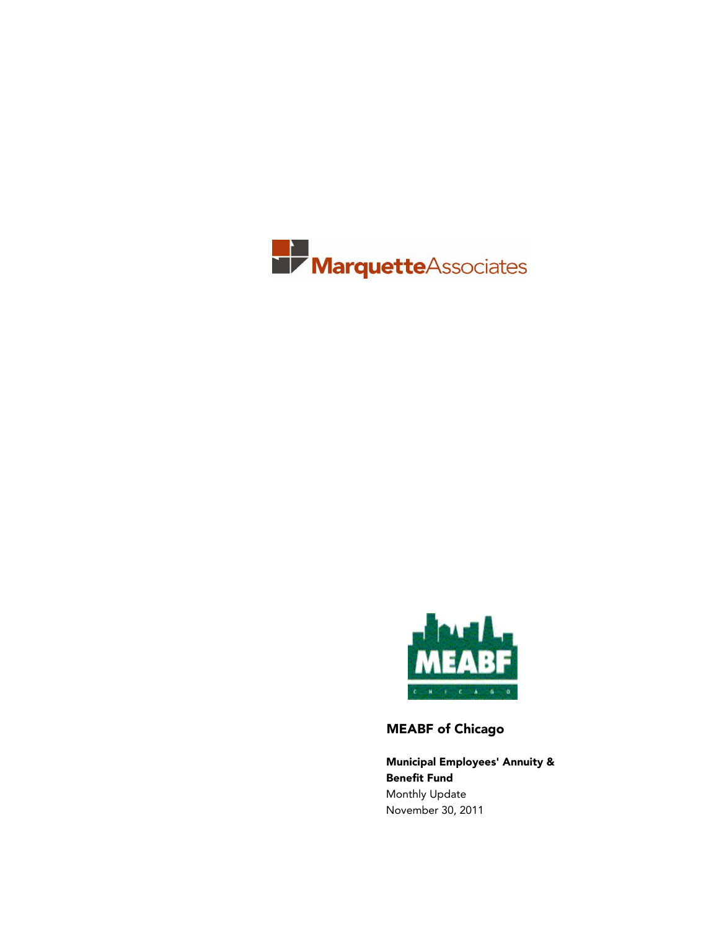



MEABF of Chicago

Municipal Employees' Annuity & Benefit Fund Monthly Update November 30, 2011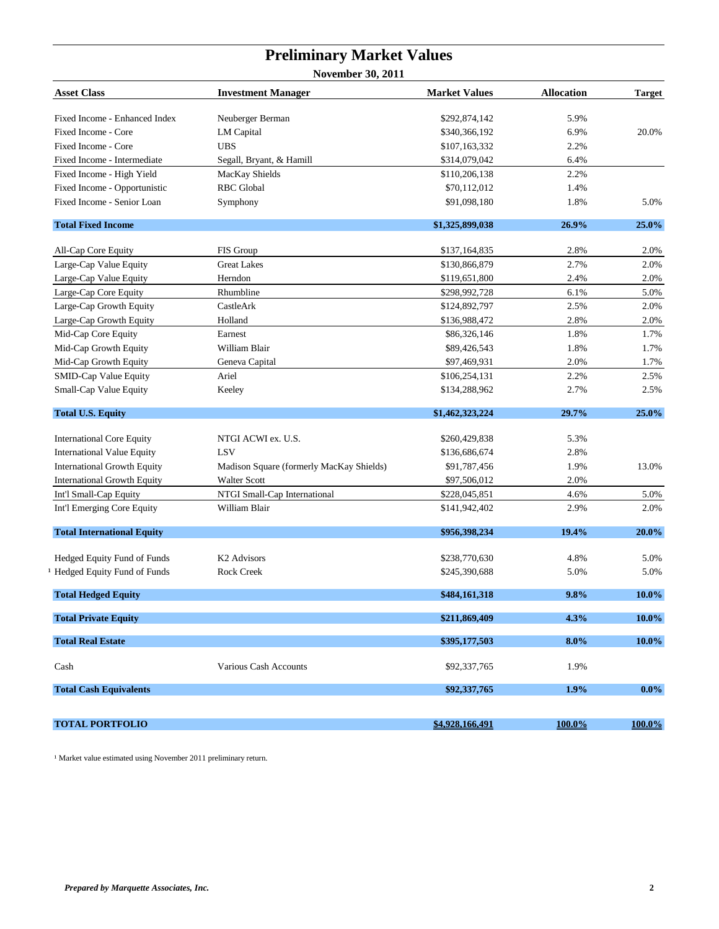## **Preliminary Market Values**

**November 30, 2011**

| <b>Asset Class</b>                 | <b>Investment Manager</b>                | <b>Market Values</b> | <b>Allocation</b> | <b>Target</b> |
|------------------------------------|------------------------------------------|----------------------|-------------------|---------------|
| Fixed Income - Enhanced Index      | Neuberger Berman                         | \$292,874,142        | 5.9%              |               |
| Fixed Income - Core                | <b>LM</b> Capital                        | \$340,366,192        | 6.9%              | 20.0%         |
| Fixed Income - Core                | <b>UBS</b>                               | \$107,163,332        | 2.2%              |               |
| Fixed Income - Intermediate        | Segall, Bryant, & Hamill                 | \$314,079,042        | 6.4%              |               |
| Fixed Income - High Yield          | MacKay Shields                           | \$110,206,138        | 2.2%              |               |
| Fixed Income - Opportunistic       | <b>RBC</b> Global                        | \$70,112,012         | 1.4%              |               |
| Fixed Income - Senior Loan         | Symphony                                 | \$91,098,180         | 1.8%              | 5.0%          |
| <b>Total Fixed Income</b>          |                                          | \$1,325,899,038      | 26.9%             | 25.0%         |
| All-Cap Core Equity                | FIS Group                                | \$137,164,835        | 2.8%              | 2.0%          |
| Large-Cap Value Equity             | <b>Great Lakes</b>                       | \$130,866,879        | 2.7%              | 2.0%          |
| Large-Cap Value Equity             | Herndon                                  | \$119,651,800        | 2.4%              | 2.0%          |
| Large-Cap Core Equity              | Rhumbline                                | \$298,992,728        | 6.1%              | 5.0%          |
| Large-Cap Growth Equity            | CastleArk                                | \$124,892,797        | 2.5%              | 2.0%          |
| Large-Cap Growth Equity            | Holland                                  | \$136,988,472        | 2.8%              | 2.0%          |
| Mid-Cap Core Equity                | Earnest                                  | \$86,326,146         | 1.8%              | 1.7%          |
| Mid-Cap Growth Equity              | William Blair                            | \$89,426,543         | 1.8%              | 1.7%          |
| Mid-Cap Growth Equity              | Geneva Capital                           | \$97,469,931         | 2.0%              | 1.7%          |
| <b>SMID-Cap Value Equity</b>       | Ariel                                    | \$106,254,131        | 2.2%              | 2.5%          |
| Small-Cap Value Equity             | Keeley                                   | \$134,288,962        | 2.7%              | 2.5%          |
| <b>Total U.S. Equity</b>           |                                          | \$1,462,323,224      | 29.7%             | 25.0%         |
| <b>International Core Equity</b>   | NTGI ACWI ex. U.S.                       | \$260,429,838        | 5.3%              |               |
| <b>International Value Equity</b>  | LSV                                      | \$136,686,674        | 2.8%              |               |
| <b>International Growth Equity</b> | Madison Square (formerly MacKay Shields) | \$91,787,456         | 1.9%              | 13.0%         |
| <b>International Growth Equity</b> | <b>Walter Scott</b>                      | \$97,506,012         | 2.0%              |               |
| Int'l Small-Cap Equity             | NTGI Small-Cap International             | \$228,045,851        | 4.6%              | 5.0%          |
| Int'l Emerging Core Equity         | William Blair                            | \$141,942,402        | 2.9%              | 2.0%          |
| <b>Total International Equity</b>  |                                          | \$956,398,234        | 19.4%             | 20.0%         |
| Hedged Equity Fund of Funds        | K <sub>2</sub> Advisors                  | \$238,770,630        | 4.8%              | 5.0%          |
| Hedged Equity Fund of Funds        | <b>Rock Creek</b>                        | \$245,390,688        | 5.0%              | 5.0%          |
| <b>Total Hedged Equity</b>         |                                          | \$484,161,318        | 9.8%              | 10.0%         |
|                                    |                                          |                      |                   |               |
| <b>Total Private Equity</b>        |                                          | \$211,869,409        | 4.3%              | 10.0%         |
| <b>Total Real Estate</b>           |                                          | \$395,177,503        | $8.0\%$           | 10.0%         |
| Cash                               | Various Cash Accounts                    | \$92,337,765         | 1.9%              |               |
| <b>Total Cash Equivalents</b>      |                                          | \$92,337,765         | 1.9%              | $0.0\%$       |
|                                    |                                          |                      |                   |               |
| <b>TOTAL PORTFOLIO</b>             |                                          | \$4,928,166,491      | 100.0%            | $100.0\%$     |

 $1$  Market value estimated using November 2011 preliminary return.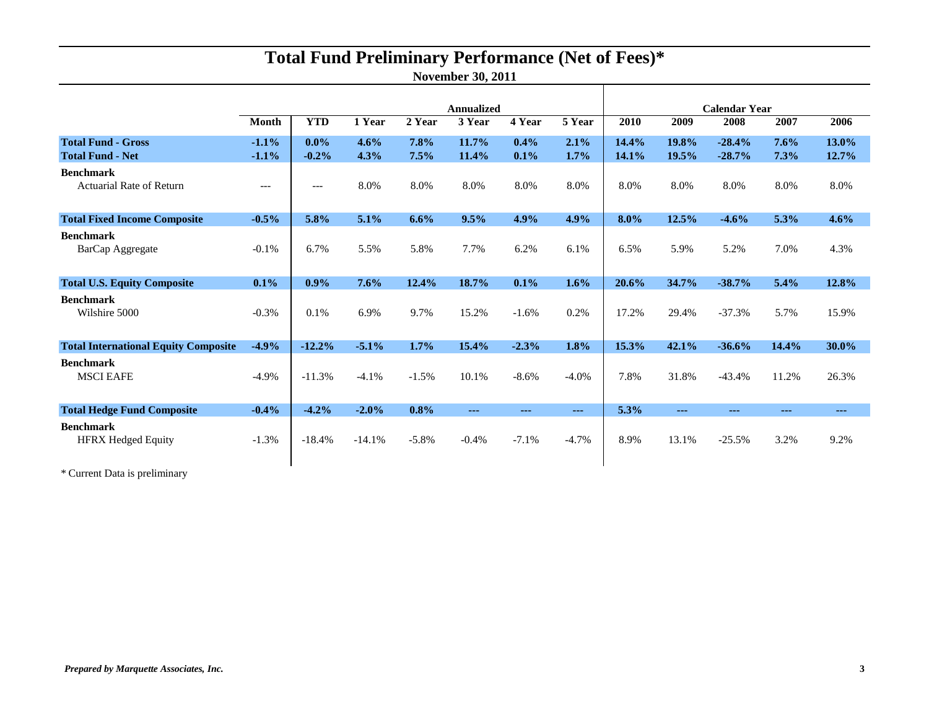# **Total Fund Preliminary Performance (Net of Fees)\***

**November 30, 2011**

|                                                      |                    | Annualized         |              |              |                |                 | <b>Calendar Year</b> |                |                |                      |               |                      |
|------------------------------------------------------|--------------------|--------------------|--------------|--------------|----------------|-----------------|----------------------|----------------|----------------|----------------------|---------------|----------------------|
|                                                      | <b>Month</b>       | <b>YTD</b>         | 1 Year       | 2 Year       | 3 Year         | 4 Year          | 5 Year               | 2010           | 2009           | 2008                 | 2007          | 2006                 |
| <b>Total Fund - Gross</b><br><b>Total Fund - Net</b> | $-1.1%$<br>$-1.1%$ | $0.0\%$<br>$-0.2%$ | 4.6%<br>4.3% | 7.8%<br>7.5% | 11.7%<br>11.4% | $0.4\%$<br>0.1% | 2.1%<br>$1.7\%$      | 14.4%<br>14.1% | 19.8%<br>19.5% | $-28.4%$<br>$-28.7%$ | 7.6%<br>7.3%  | 13.0%<br>12.7%       |
| <b>Benchmark</b><br><b>Actuarial Rate of Return</b>  | $---$              | $---$              | 8.0%         | 8.0%         | 8.0%           | 8.0%            | 8.0%                 | 8.0%           | 8.0%           | 8.0%                 | 8.0%          | 8.0%                 |
| <b>Total Fixed Income Composite</b>                  | $-0.5%$            | 5.8%               | 5.1%         | 6.6%         | 9.5%           | 4.9%            | 4.9%                 | 8.0%           | 12.5%          | $-4.6%$              | 5.3%          | 4.6%                 |
| <b>Benchmark</b><br>BarCap Aggregate                 | $-0.1\%$           | 6.7%               | 5.5%         | 5.8%         | 7.7%           | 6.2%            | 6.1%                 | 6.5%           | 5.9%           | 5.2%                 | 7.0%          | 4.3%                 |
| <b>Total U.S. Equity Composite</b>                   | $0.1\%$            | $0.9\%$            | 7.6%         | 12.4%        | 18.7%          | 0.1%            | 1.6%                 | 20.6%          | 34.7%          | $-38.7%$             | 5.4%          | 12.8%                |
| <b>Benchmark</b><br>Wilshire 5000                    | $-0.3%$            | 0.1%               | 6.9%         | 9.7%         | 15.2%          | $-1.6%$         | 0.2%                 | 17.2%          | 29.4%          | $-37.3%$             | 5.7%          | 15.9%                |
| <b>Total International Equity Composite</b>          | $-4.9%$            | $-12.2%$           | $-5.1%$      | 1.7%         | 15.4%          | $-2.3%$         | 1.8%                 | 15.3%          | 42.1%          | $-36.6%$             | 14.4%         | 30.0%                |
| <b>Benchmark</b><br><b>MSCI EAFE</b>                 | $-4.9\%$           | $-11.3%$           | $-4.1%$      | $-1.5%$      | 10.1%          | $-8.6%$         | $-4.0%$              | 7.8%           | 31.8%          | $-43.4%$             | 11.2%         | 26.3%                |
| <b>Total Hedge Fund Composite</b>                    | $-0.4%$            | $-4.2%$            | $-2.0%$      | 0.8%         | $\frac{1}{2}$  | $\sim$ $\sim$   | $\sim$ $\sim$ $\sim$ | 5.3%           | $- - -$        | $- - -$              | $\sim$ $\sim$ | $\sim$ $\sim$ $\sim$ |
| <b>Benchmark</b><br><b>HFRX Hedged Equity</b>        | $-1.3%$            | $-18.4%$           | $-14.1%$     | $-5.8%$      | $-0.4%$        | $-7.1%$         | $-4.7%$              | 8.9%           | 13.1%          | $-25.5%$             | 3.2%          | 9.2%                 |

\* Current Data is preliminary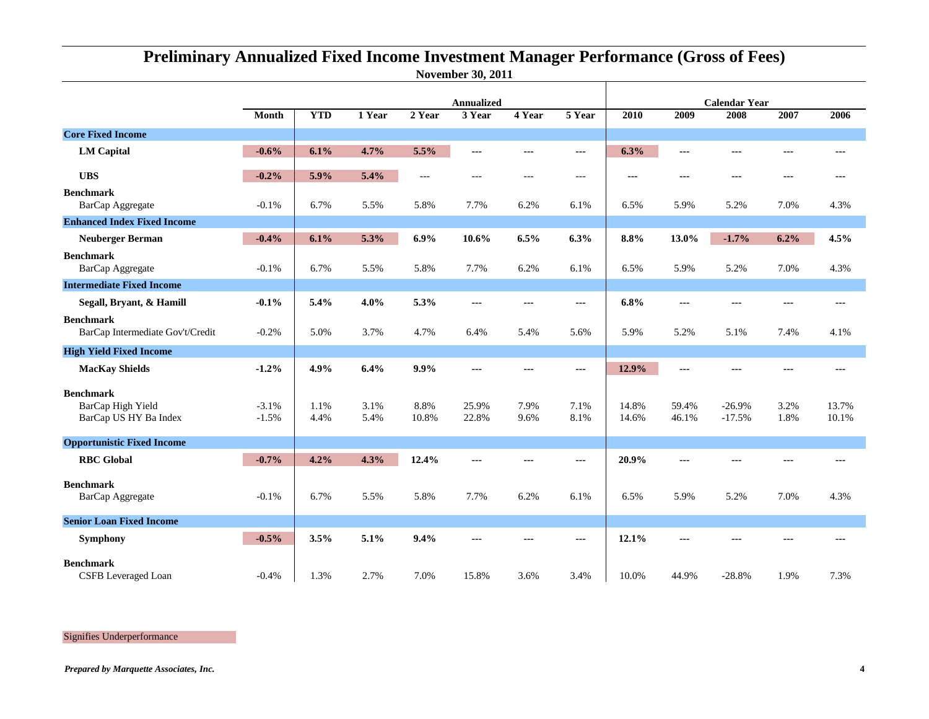## **November 30, 2011 Preliminary Annualized Fixed Income Investment Manager Performance (Gross of Fees)**

|                                                                |                    | <b>Annualized</b> |              |               |                |                |               | <b>Calendar Year</b> |                |                      |              |                |
|----------------------------------------------------------------|--------------------|-------------------|--------------|---------------|----------------|----------------|---------------|----------------------|----------------|----------------------|--------------|----------------|
|                                                                | <b>Month</b>       | <b>YTD</b>        | 1 Year       | 2 Year        | 3 Year         | 4 Year         | 5 Year        | 2010                 | 2009           | 2008                 | 2007         | 2006           |
| <b>Core Fixed Income</b>                                       |                    |                   |              |               |                |                |               |                      |                |                      |              |                |
| <b>LM</b> Capital                                              | $-0.6%$            | 6.1%              | 4.7%         | 5.5%          | ---            | ---            | ---           | 6.3%                 | ---            | ---                  | ---          | ---            |
| <b>UBS</b>                                                     | $-0.2%$            | 5.9%              | 5.4%         | $---$         | ---            | $---$          | $---$         | ---                  | ---            | $--$                 | $--$         | ---            |
| <b>Benchmark</b><br>BarCap Aggregate                           | $-0.1%$            | 6.7%              | 5.5%         | 5.8%          | 7.7%           | 6.2%           | 6.1%          | 6.5%                 | 5.9%           | 5.2%                 | 7.0%         | 4.3%           |
| <b>Enhanced Index Fixed Income</b>                             |                    |                   |              |               |                |                |               |                      |                |                      |              |                |
| <b>Neuberger Berman</b>                                        | $-0.4%$            | 6.1%              | 5.3%         | 6.9%          | 10.6%          | 6.5%           | 6.3%          | 8.8%                 | 13.0%          | $-1.7%$              | 6.2%         | 4.5%           |
| <b>Benchmark</b><br>BarCap Aggregate                           | $-0.1%$            | 6.7%              | 5.5%         | 5.8%          | 7.7%           | 6.2%           | 6.1%          | 6.5%                 | 5.9%           | 5.2%                 | 7.0%         | 4.3%           |
| <b>Intermediate Fixed Income</b>                               |                    |                   |              |               |                |                |               |                      |                |                      |              |                |
| Segall, Bryant, & Hamill                                       | $-0.1%$            | 5.4%              | 4.0%         | 5.3%          | ---            | $\overline{a}$ | $---$         | 6.8%                 | ---            | $---$                | $---$        | ---            |
| <b>Benchmark</b><br>BarCap Intermediate Gov't/Credit           | $-0.2%$            | 5.0%              | 3.7%         | 4.7%          | 6.4%           | 5.4%           | 5.6%          | 5.9%                 | 5.2%           | 5.1%                 | 7.4%         | 4.1%           |
| <b>High Yield Fixed Income</b>                                 |                    |                   |              |               |                |                |               |                      |                |                      |              |                |
| <b>MacKay Shields</b>                                          | $-1.2%$            | 4.9%              | 6.4%         | 9.9%          | $---$          | $\overline{a}$ | $\frac{1}{2}$ | 12.9%                | $---$          | $\overline{a}$       | $- - -$      | ---            |
| <b>Benchmark</b><br>BarCap High Yield<br>BarCap US HY Ba Index | $-3.1%$<br>$-1.5%$ | 1.1%<br>4.4%      | 3.1%<br>5.4% | 8.8%<br>10.8% | 25.9%<br>22.8% | 7.9%<br>9.6%   | 7.1%<br>8.1%  | 14.8%<br>14.6%       | 59.4%<br>46.1% | $-26.9%$<br>$-17.5%$ | 3.2%<br>1.8% | 13.7%<br>10.1% |
| <b>Opportunistic Fixed Income</b>                              |                    |                   |              |               |                |                |               |                      |                |                      |              |                |
| <b>RBC</b> Global                                              | $-0.7%$            | 4.2%              | 4.3%         | 12.4%         | $---$          | $\overline{a}$ | $---$         | 20.9%                | $---$          | ---                  | ---          | ---            |
| <b>Benchmark</b><br>BarCap Aggregate                           | $-0.1%$            | 6.7%              | 5.5%         | 5.8%          | 7.7%           | 6.2%           | 6.1%          | 6.5%                 | 5.9%           | 5.2%                 | 7.0%         | 4.3%           |
| <b>Senior Loan Fixed Income</b>                                |                    |                   |              |               |                |                |               |                      |                |                      |              |                |
| <b>Symphony</b>                                                | $-0.5%$            | 3.5%              | 5.1%         | 9.4%          | ---            | ---            | ---           | 12.1%                | ---            |                      |              |                |
| <b>Benchmark</b><br>CSFB Leveraged Loan                        | $-0.4%$            | 1.3%              | 2.7%         | 7.0%          | 15.8%          | 3.6%           | 3.4%          | 10.0%                | 44.9%          | $-28.8%$             | 1.9%         | 7.3%           |

Signifies Underperformance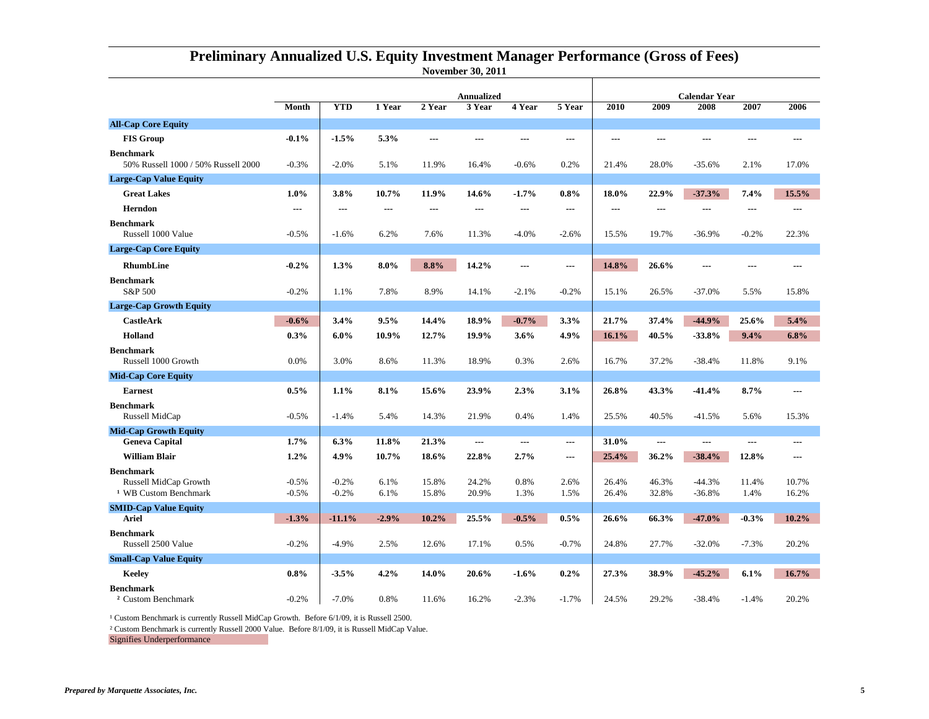|                                                                               |                    | <b>Annualized</b>  |              |                |                |                | <b>Calendar Year</b> |                |                |                      |               |                |
|-------------------------------------------------------------------------------|--------------------|--------------------|--------------|----------------|----------------|----------------|----------------------|----------------|----------------|----------------------|---------------|----------------|
|                                                                               | Month              | <b>YTD</b>         | 1 Year       | 2 Year         | 3 Year         | 4 Year         | 5 Year               | 2010           | 2009           | 2008                 | 2007          | 2006           |
| <b>All-Cap Core Equity</b>                                                    |                    |                    |              |                |                |                |                      |                |                |                      |               |                |
| <b>FIS Group</b>                                                              | $-0.1%$            | $-1.5%$            | 5.3%         | ---            | ---            | ---            | $\overline{a}$       | ---            | ---            |                      | ---           |                |
| <b>Benchmark</b><br>50% Russell 1000 / 50% Russell 2000                       | $-0.3%$            | $-2.0%$            | 5.1%         | 11.9%          | 16.4%          | $-0.6%$        | 0.2%                 | 21.4%          | 28.0%          | $-35.6%$             | 2.1%          | 17.0%          |
| <b>Large-Cap Value Equity</b>                                                 |                    |                    |              |                |                |                |                      |                |                |                      |               |                |
| <b>Great Lakes</b>                                                            | $1.0\%$            | 3.8%               | 10.7%        | 11.9%          | 14.6%          | $-1.7%$        | 0.8%                 | 18.0%          | 22.9%          | $-37.3%$             | 7.4%          | 15.5%          |
| <b>Herndon</b>                                                                | $---$              |                    | ---          | ---            |                | $---$          | $---$                | $---$          | ---            | ---                  | ---           |                |
| <b>Benchmark</b><br>Russell 1000 Value                                        | $-0.5%$            | $-1.6%$            | 6.2%         | 7.6%           | 11.3%          | $-4.0%$        | $-2.6%$              | 15.5%          | 19.7%          | $-36.9%$             | $-0.2%$       | 22.3%          |
| <b>Large-Cap Core Equity</b>                                                  |                    |                    |              |                |                |                |                      |                |                |                      |               |                |
| <b>RhumbLine</b>                                                              | $-0.2%$            | 1.3%               | $8.0\%$      | 8.8%           | 14.2%          | $---$          | $---$                | 14.8%          | 26.6%          |                      | ---           |                |
| <b>Benchmark</b><br>S&P 500                                                   | $-0.2%$            | 1.1%               | 7.8%         | 8.9%           | 14.1%          | $-2.1%$        | $-0.2%$              | 15.1%          | 26.5%          | $-37.0%$             | 5.5%          | 15.8%          |
| <b>Large-Cap Growth Equity</b>                                                |                    |                    |              |                |                |                |                      |                |                |                      |               |                |
| <b>CastleArk</b>                                                              | $-0.6%$            | 3.4%               | 9.5%         | 14.4%          | 18.9%          | $-0.7%$        | 3.3%                 | 21.7%          | 37.4%          | $-44.9%$             | 25.6%         | 5.4%           |
| <b>Holland</b>                                                                | 0.3%               | $6.0\%$            | 10.9%        | 12.7%          | 19.9%          | 3.6%           | 4.9%                 | 16.1%          | 40.5%          | $-33.8%$             | 9.4%          | 6.8%           |
| <b>Benchmark</b><br>Russell 1000 Growth                                       | 0.0%               | 3.0%               | 8.6%         | 11.3%          | 18.9%          | 0.3%           | 2.6%                 | 16.7%          | 37.2%          | $-38.4%$             | 11.8%         | 9.1%           |
| <b>Mid-Cap Core Equity</b>                                                    |                    |                    |              |                |                |                |                      |                |                |                      |               |                |
| <b>Earnest</b>                                                                | 0.5%               | 1.1%               | 8.1%         | 15.6%          | 23.9%          | 2.3%           | 3.1%                 | 26.8%          | 43.3%          | $-41.4%$             | 8.7%          | ---            |
| <b>Benchmark</b><br>Russell MidCap                                            | $-0.5%$            | $-1.4%$            | 5.4%         | 14.3%          | 21.9%          | 0.4%           | 1.4%                 | 25.5%          | 40.5%          | $-41.5%$             | 5.6%          | 15.3%          |
| <b>Mid-Cap Growth Equity</b>                                                  |                    |                    |              |                |                |                |                      |                |                |                      |               |                |
| <b>Geneva Capital</b>                                                         | 1.7%               | 6.3%               | 11.8%        | 21.3%          | ---            | $\overline{a}$ | ---                  | 31.0%          | ---            |                      | ---           | ---            |
| <b>William Blair</b>                                                          | 1.2%               | 4.9%               | 10.7%        | 18.6%          | 22.8%          | 2.7%           | ---                  | 25.4%          | 36.2%          | $-38.4%$             | 12.8%         |                |
| <b>Benchmark</b><br>Russell MidCap Growth<br><sup>1</sup> WB Custom Benchmark | $-0.5%$<br>$-0.5%$ | $-0.2%$<br>$-0.2%$ | 6.1%<br>6.1% | 15.8%<br>15.8% | 24.2%<br>20.9% | 0.8%<br>1.3%   | 2.6%<br>1.5%         | 26.4%<br>26.4% | 46.3%<br>32.8% | $-44.3%$<br>$-36.8%$ | 11.4%<br>1.4% | 10.7%<br>16.2% |
| <b>SMID-Cap Value Equity</b>                                                  |                    |                    |              |                |                |                |                      |                |                |                      |               |                |
| <b>Ariel</b>                                                                  | $-1.3%$            | $-11.1%$           | $-2.9%$      | 10.2%          | 25.5%          | $-0.5%$        | 0.5%                 | 26.6%          | 66.3%          | $-47.0%$             | $-0.3%$       | 10.2%          |
| <b>Benchmark</b><br>Russell 2500 Value                                        | $-0.2%$            | $-4.9%$            | 2.5%         | 12.6%          | 17.1%          | 0.5%           | $-0.7%$              | 24.8%          | 27.7%          | $-32.0%$             | $-7.3%$       | 20.2%          |
| <b>Small-Cap Value Equity</b>                                                 |                    |                    |              |                |                |                |                      |                |                |                      |               |                |
| Keelev                                                                        | 0.8%               | $-3.5%$            | 4.2%         | 14.0%          | 20.6%          | $-1.6%$        | 0.2%                 | 27.3%          | 38.9%          | $-45.2%$             | 6.1%          | 16.7%          |
| <b>Benchmark</b><br><sup>2</sup> Custom Benchmark                             | $-0.2%$            | $-7.0%$            | 0.8%         | 11.6%          | 16.2%          | $-2.3%$        | $-1.7%$              | 24.5%          | 29.2%          | $-38.4%$             | $-1.4%$       | 20.2%          |

### **November 30, 2011 Preliminary Annualized U.S. Equity Investment Manager Performance (Gross of Fees)**

<sup>1</sup> Custom Benchmark is currently Russell MidCap Growth. Before 6/1/09, it is Russell 2500.

² Custom Benchmark is currently Russell 2000 Value. Before 8/1/09, it is Russell MidCap Value.

Signifies Underperformance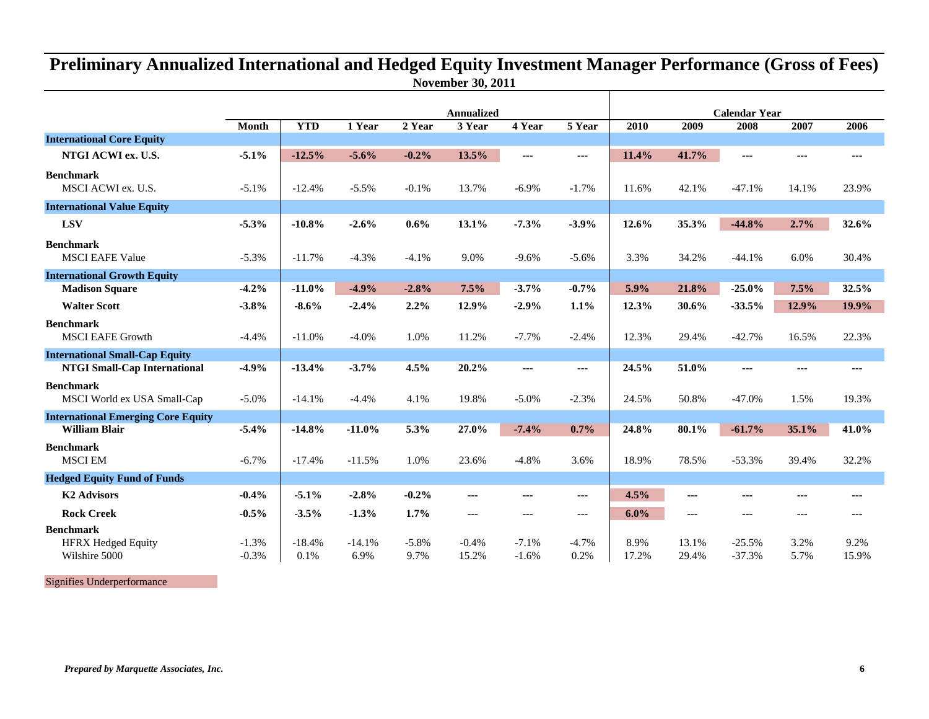## **November 30, 2011 Preliminary Annualized International and Hedged Equity Investment Manager Performance (Gross of Fees)**

|                                                 |                    | <b>Annualized</b> |                  |                 |                  |                    | <b>Calendar Year</b> |               |                |                      |              |               |
|-------------------------------------------------|--------------------|-------------------|------------------|-----------------|------------------|--------------------|----------------------|---------------|----------------|----------------------|--------------|---------------|
|                                                 | Month              | <b>YTD</b>        | 1 Year           | 2 Year          | 3 Year           | 4 Year             | 5 Year               | 2010          | 2009           | 2008                 | 2007         | 2006          |
| <b>International Core Equity</b>                |                    |                   |                  |                 |                  |                    |                      |               |                |                      |              |               |
| NTGI ACWI ex. U.S.                              | $-5.1%$            | $-12.5%$          | $-5.6%$          | $-0.2%$         | 13.5%            | $\sim$             | $--$                 | 11.4%         | 41.7%          | $\overline{a}$       | ---          | $\cdots$      |
| <b>Benchmark</b><br>MSCI ACWI ex. U.S.          | $-5.1%$            | $-12.4%$          | $-5.5%$          | $-0.1%$         | 13.7%            | $-6.9%$            | $-1.7%$              | 11.6%         | 42.1%          | $-47.1%$             | 14.1%        | 23.9%         |
| <b>International Value Equity</b>               |                    |                   |                  |                 |                  |                    |                      |               |                |                      |              |               |
| <b>LSV</b>                                      | $-5.3%$            | $-10.8%$          | $-2.6%$          | 0.6%            | 13.1%            | $-7.3%$            | $-3.9%$              | 12.6%         | 35.3%          | $-44.8%$             | 2.7%         | 32.6%         |
| <b>Benchmark</b><br><b>MSCI EAFE Value</b>      | $-5.3%$            | $-11.7%$          | $-4.3%$          | $-4.1%$         | 9.0%             | $-9.6%$            | $-5.6%$              | 3.3%          | 34.2%          | $-44.1%$             | 6.0%         | 30.4%         |
| <b>International Growth Equity</b>              |                    |                   |                  |                 |                  |                    |                      |               |                |                      |              |               |
| <b>Madison Square</b>                           | $-4.2%$            | $-11.0%$          | $-4.9%$          | $-2.8%$         | 7.5%             | $-3.7%$            | $-0.7%$              | 5.9%          | 21.8%          | $-25.0%$             | 7.5%         | 32.5%         |
| <b>Walter Scott</b>                             | $-3.8%$            | $-8.6%$           | $-2.4%$          | 2.2%            | 12.9%            | $-2.9%$            | 1.1%                 | 12.3%         | 30.6%          | $-33.5%$             | 12.9%        | 19.9%         |
| <b>Benchmark</b><br><b>MSCI EAFE Growth</b>     | $-4.4%$            | $-11.0%$          | $-4.0%$          | 1.0%            | 11.2%            | $-7.7%$            | $-2.4%$              | 12.3%         | 29.4%          | $-42.7%$             | 16.5%        | 22.3%         |
| <b>International Small-Cap Equity</b>           |                    |                   |                  |                 |                  |                    |                      |               |                |                      |              |               |
| <b>NTGI Small-Cap International</b>             | $-4.9%$            | $-13.4%$          | $-3.7%$          | 4.5%            | 20.2%            | $- - -$            | ---                  | 24.5%         | 51.0%          | $- - -$              | ---          | $- - -$       |
| <b>Benchmark</b><br>MSCI World ex USA Small-Cap | $-5.0%$            | $-14.1%$          | $-4.4%$          | 4.1%            | 19.8%            | $-5.0%$            | $-2.3%$              | 24.5%         | 50.8%          | $-47.0%$             | 1.5%         | 19.3%         |
| <b>International Emerging Core Equity</b>       |                    |                   |                  |                 |                  |                    |                      |               |                |                      |              |               |
| <b>William Blair</b>                            | $-5.4%$            | $-14.8%$          | $-11.0%$         | 5.3%            | 27.0%            | $-7.4%$            | 0.7%                 | 24.8%         | 80.1%          | $-61.7%$             | 35.1%        | 41.0%         |
| <b>Benchmark</b><br><b>MSCI EM</b>              | $-6.7%$            | $-17.4%$          | $-11.5%$         | 1.0%            | 23.6%            | $-4.8%$            | 3.6%                 | 18.9%         | 78.5%          | $-53.3%$             | 39.4%        | 32.2%         |
| <b>Hedged Equity Fund of Funds</b>              |                    |                   |                  |                 |                  |                    |                      |               |                |                      |              |               |
| <b>K2 Advisors</b>                              | $-0.4%$            | $-5.1%$           | $-2.8%$          | $-0.2%$         | $--$             | ---                | ---                  | 4.5%          | ---            | $- - -$              |              | ---           |
| <b>Rock Creek</b>                               | $-0.5%$            | $-3.5%$           | $-1.3%$          | 1.7%            | ---              | $- - -$            | ---                  | 6.0%          | ---            | $- - -$              | ---          | $- - -$       |
| <b>Benchmark</b>                                |                    |                   |                  |                 |                  |                    |                      |               |                |                      |              |               |
| <b>HFRX Hedged Equity</b><br>Wilshire 5000      | $-1.3%$<br>$-0.3%$ | $-18.4%$<br>0.1%  | $-14.1%$<br>6.9% | $-5.8%$<br>9.7% | $-0.4%$<br>15.2% | $-7.1%$<br>$-1.6%$ | $-4.7%$<br>0.2%      | 8.9%<br>17.2% | 13.1%<br>29.4% | $-25.5%$<br>$-37.3%$ | 3.2%<br>5.7% | 9.2%<br>15.9% |

Signifies Underperformance